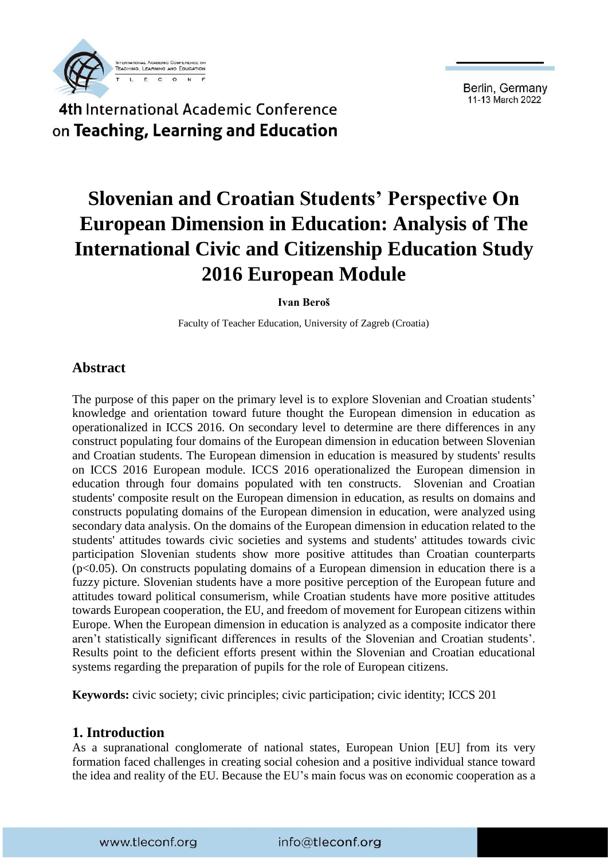



# **Slovenian and Croatian Students' Perspective On European Dimension in Education: Analysis of The International Civic and Citizenship Education Study 2016 European Module**

#### **Ivan Beroš**

Faculty of Teacher Education, University of Zagreb (Croatia)

#### **Abstract**

The purpose of this paper on the primary level is to explore Slovenian and Croatian students' knowledge and orientation toward future thought the European dimension in education as operationalized in ICCS 2016. On secondary level to determine are there differences in any construct populating four domains of the European dimension in education between Slovenian and Croatian students. The European dimension in education is measured by students' results on ICCS 2016 European module. ICCS 2016 operationalized the European dimension in education through four domains populated with ten constructs. Slovenian and Croatian students' composite result on the European dimension in education, as results on domains and constructs populating domains of the European dimension in education, were analyzed using secondary data analysis. On the domains of the European dimension in education related to the students' attitudes towards civic societies and systems and students' attitudes towards civic participation Slovenian students show more positive attitudes than Croatian counterparts (p<0.05). On constructs populating domains of a European dimension in education there is a fuzzy picture. Slovenian students have a more positive perception of the European future and attitudes toward political consumerism, while Croatian students have more positive attitudes towards European cooperation, the EU, and freedom of movement for European citizens within Europe. When the European dimension in education is analyzed as a composite indicator there aren't statistically significant differences in results of the Slovenian and Croatian students'. Results point to the deficient efforts present within the Slovenian and Croatian educational systems regarding the preparation of pupils for the role of European citizens.

**Keywords:** civic society; civic principles; civic participation; civic identity; ICCS 201

#### **1. Introduction**

As a supranational conglomerate of national states, European Union [EU] from its very formation faced challenges in creating social cohesion and a positive individual stance toward the idea and reality of the EU. Because the EU's main focus was on economic cooperation as a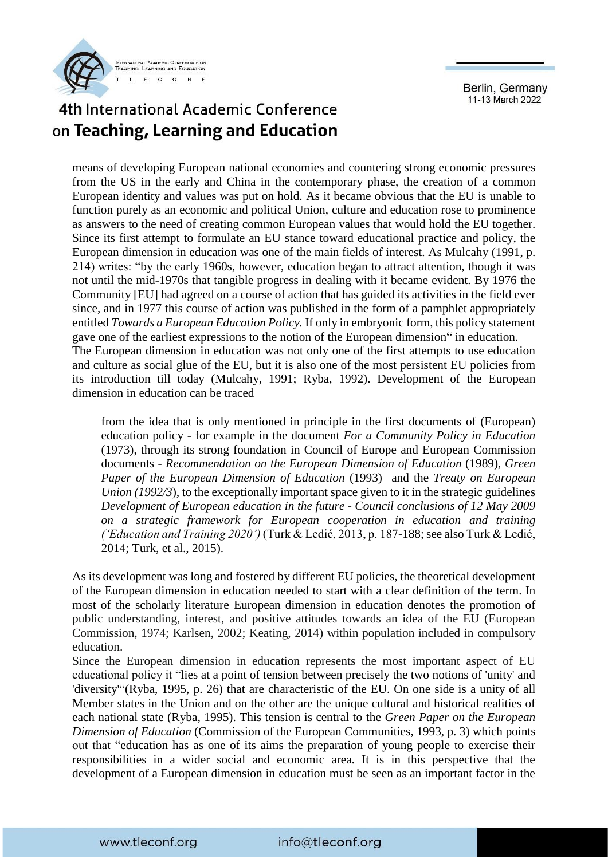

# 4th International Academic Conference on Teaching, Learning and Education

means of developing European national economies and countering strong economic pressures from the US in the early and China in the contemporary phase, the creation of a common European identity and values was put on hold. As it became obvious that the EU is unable to function purely as an economic and political Union, culture and education rose to prominence as answers to the need of creating common European values that would hold the EU together. Since its first attempt to formulate an EU stance toward educational practice and policy, the European dimension in education was one of the main fields of interest. As Mulcahy (1991, p. 214) writes: "by the early 1960s, however, education began to attract attention, though it was not until the mid-1970s that tangible progress in dealing with it became evident. By 1976 the Community [EU] had agreed on a course of action that has guided its activities in the field ever since, and in 1977 this course of action was published in the form of a pamphlet appropriately entitled *Towards a European Education Policy.* If only in embryonic form, this policy statement gave one of the earliest expressions to the notion of the European dimension" in education. The European dimension in education was not only one of the first attempts to use education and culture as social glue of the EU, but it is also one of the most persistent EU policies from its introduction till today (Mulcahy, 1991; Ryba, 1992). Development of the European dimension in education can be traced

from the idea that is only mentioned in principle in the first documents of (European) education policy - for example in the document *For a Community Policy in Education*  (1973), through its strong foundation in Council of Europe and European Commission documents - *Recommendation on the European Dimension of Education* (1989), *Green Paper of the European Dimension of Education* (1993) and the *Treaty on European Union (1992/3*), to the exceptionally important space given to it in the strategic guidelines *Development of European education in the future* - *Council conclusions of 12 May 2009 on a strategic framework for European cooperation in education and training ('Education and Training 2020')* (Turk & Ledić, 2013, p. 187-188; see also Turk & Ledić, 2014; Turk, et al., 2015).

As its development was long and fostered by different EU policies, the theoretical development of the European dimension in education needed to start with a clear definition of the term. In most of the scholarly literature European dimension in education denotes the promotion of public understanding, interest, and positive attitudes towards an idea of the EU (European Commission, 1974; Karlsen, 2002; Keating, 2014) within population included in compulsory education.

Since the European dimension in education represents the most important aspect of EU educational policy it "lies at a point of tension between precisely the two notions of 'unity' and 'diversity'"(Ryba, 1995, p. 26) that are characteristic of the EU. On one side is a unity of all Member states in the Union and on the other are the unique cultural and historical realities of each national state (Ryba, 1995). This tension is central to the *Green Paper on the European Dimension of Education* (Commission of the European Communities, 1993, p. 3) which points out that "education has as one of its aims the preparation of young people to exercise their responsibilities in a wider social and economic area. It is in this perspective that the development of a European dimension in education must be seen as an important factor in the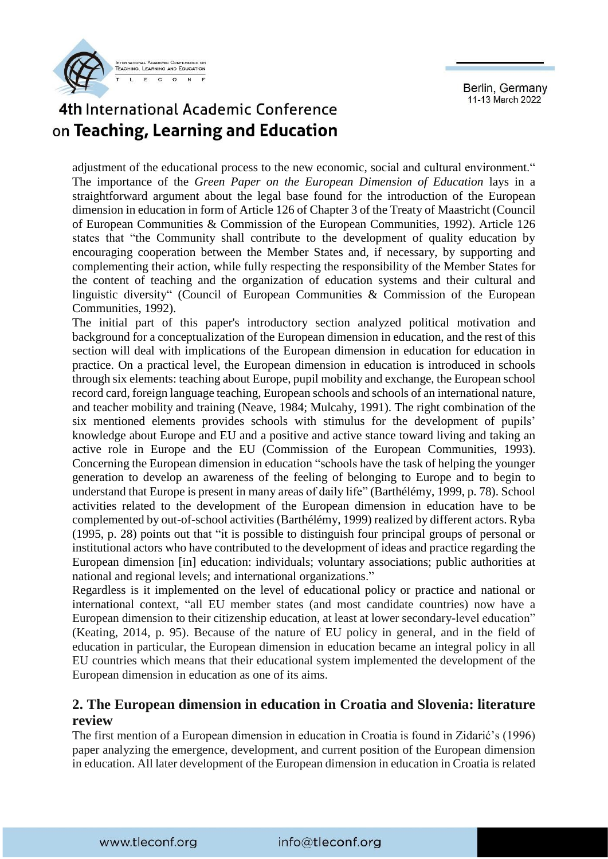

# 4th International Academic Conference on Teaching, Learning and Education

adjustment of the educational process to the new economic, social and cultural environment." The importance of the *Green Paper on the European Dimension of Education* lays in a straightforward argument about the legal base found for the introduction of the European dimension in education in form of Article 126 of Chapter 3 of the Treaty of Maastricht (Council of European Communities & Commission of the European Communities, 1992). Article 126 states that "the Community shall contribute to the development of quality education by encouraging cooperation between the Member States and, if necessary, by supporting and complementing their action, while fully respecting the responsibility of the Member States for the content of teaching and the organization of education systems and their cultural and linguistic diversity" (Council of European Communities & Commission of the European Communities, 1992).

The initial part of this paper's introductory section analyzed political motivation and background for a conceptualization of the European dimension in education, and the rest of this section will deal with implications of the European dimension in education for education in practice. On a practical level, the European dimension in education is introduced in schools through six elements: teaching about Europe, pupil mobility and exchange, the European school record card, foreign language teaching, European schools and schools of an international nature, and teacher mobility and training (Neave, 1984; Mulcahy, 1991). The right combination of the six mentioned elements provides schools with stimulus for the development of pupils' knowledge about Europe and EU and a positive and active stance toward living and taking an active role in Europe and the EU (Commission of the European Communities, 1993). Concerning the European dimension in education "schools have the task of helping the younger generation to develop an awareness of the feeling of belonging to Europe and to begin to understand that Europe is present in many areas of daily life" (Barthélémy, 1999, p. 78). School activities related to the development of the European dimension in education have to be complemented by out-of-school activities (Barthélémy, 1999) realized by different actors. Ryba (1995, p. 28) points out that "it is possible to distinguish four principal groups of personal or institutional actors who have contributed to the development of ideas and practice regarding the European dimension [in] education: individuals; voluntary associations; public authorities at national and regional levels; and international organizations."

Regardless is it implemented on the level of educational policy or practice and national or international context, "all EU member states (and most candidate countries) now have a European dimension to their citizenship education, at least at lower secondary-level education" (Keating, 2014, p. 95). Because of the nature of EU policy in general, and in the field of education in particular, the European dimension in education became an integral policy in all EU countries which means that their educational system implemented the development of the European dimension in education as one of its aims.

#### **2. The European dimension in education in Croatia and Slovenia: literature review**

The first mention of a European dimension in education in Croatia is found in Zidarić's (1996) paper analyzing the emergence, development, and current position of the European dimension in education. All later development of the European dimension in education in Croatia is related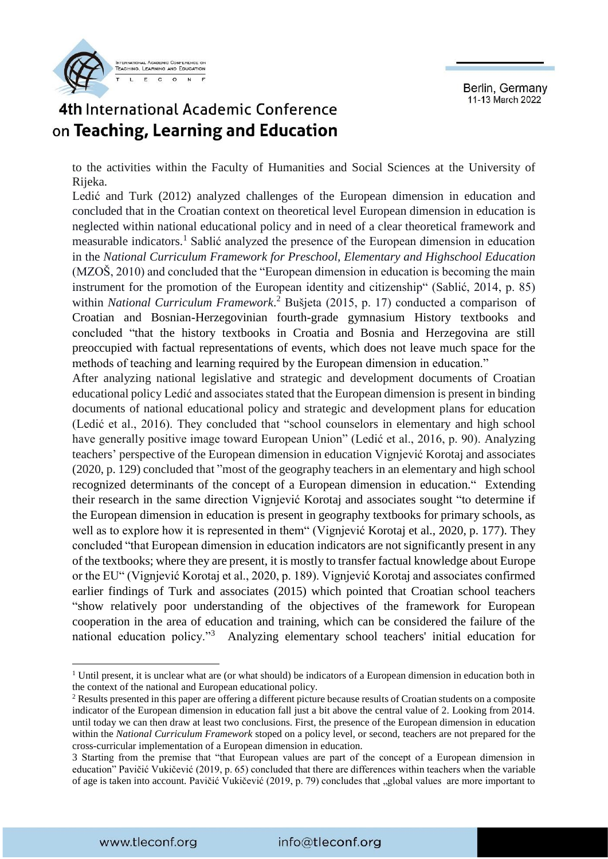



to the activities within the Faculty of Humanities and Social Sciences at the University of Rijeka.

Ledić and Turk (2012) analyzed challenges of the European dimension in education and concluded that in the Croatian context on theoretical level European dimension in education is neglected within national educational policy and in need of a clear theoretical framework and measurable indicators.<sup>1</sup> Sablić analyzed the presence of the European dimension in education in the *National Curriculum Framework for Preschool, Elementary and Highschool Education*  (MZOŠ, 2010) and concluded that the "European dimension in education is becoming the main instrument for the promotion of the European identity and citizenship" (Sablić, 2014, p. 85) within *National Curriculum Framework*. <sup>2</sup> Bušjeta (2015, p. 17) conducted a comparison of Croatian and Bosnian-Herzegovinian fourth-grade gymnasium History textbooks and concluded "that the history textbooks in Croatia and Bosnia and Herzegovina are still preoccupied with factual representations of events, which does not leave much space for the methods of teaching and learning required by the European dimension in education."

After analyzing national legislative and strategic and development documents of Croatian educational policy Ledić and associates stated that the European dimension is present in binding documents of national educational policy and strategic and development plans for education (Ledić et al., 2016). They concluded that "school counselors in elementary and high school have generally positive image toward European Union" (Ledić et al., 2016, p. 90). Analyzing teachers' perspective of the European dimension in education Vignjević Korotaj and associates (2020, p. 129) concluded that "most of the geography teachers in an elementary and high school recognized determinants of the concept of a European dimension in education." Extending their research in the same direction Vignjević Korotaj and associates sought "to determine if the European dimension in education is present in geography textbooks for primary schools, as well as to explore how it is represented in them" (Vignjević Korotaj et al., 2020, p. 177). They concluded "that European dimension in education indicators are not significantly present in any of the textbooks; where they are present, it is mostly to transfer factual knowledge about Europe or the EU" (Vignjević Korotaj et al., 2020, p. 189). Vignjević Korotaj and associates confirmed earlier findings of Turk and associates (2015) which pointed that Croatian school teachers "show relatively poor understanding of the objectives of the framework for European cooperation in the area of education and training, which can be considered the failure of the national education policy."<sup>3</sup> Analyzing elementary school teachers' initial education for

**.** 

<sup>&</sup>lt;sup>1</sup> Until present, it is unclear what are (or what should) be indicators of a European dimension in education both in the context of the national and European educational policy.

<sup>&</sup>lt;sup>2</sup> Results presented in this paper are offering a different picture because results of Croatian students on a composite indicator of the European dimension in education fall just a bit above the central value of 2. Looking from 2014. until today we can then draw at least two conclusions. First, the presence of the European dimension in education within the *National Curriculum Framework* stoped on a policy level, or second, teachers are not prepared for the cross-curricular implementation of a European dimension in education.

<sup>3</sup> Starting from the premise that "that European values are part of the concept of a European dimension in education" Pavičić Vukičević (2019, p. 65) concluded that there are differences within teachers when the variable of age is taken into account. Pavičić Vukičević (2019, p. 79) concludes that "global values are more important to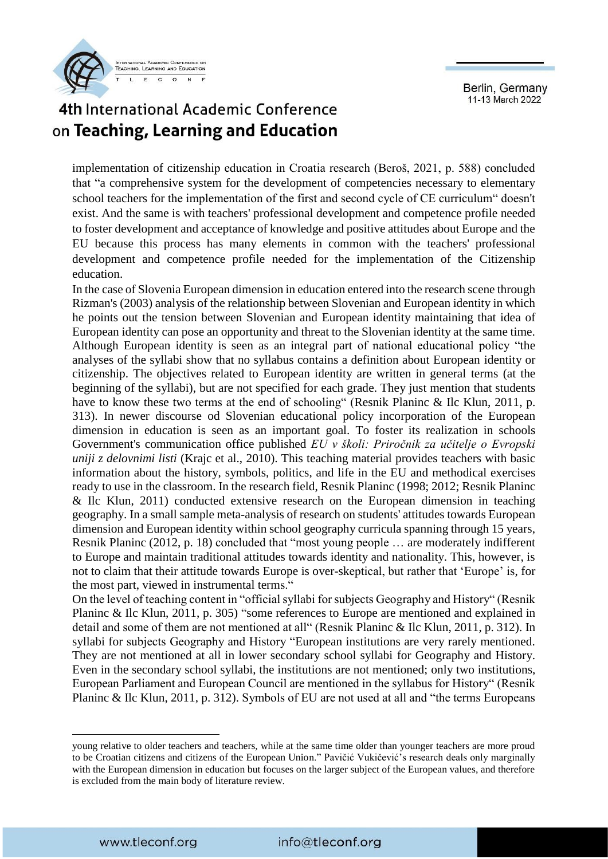

## 4th International Academic Conference on Teaching, Learning and Education

implementation of citizenship education in Croatia research (Beroš, 2021, p. 588) concluded that "a comprehensive system for the development of competencies necessary to elementary school teachers for the implementation of the first and second cycle of CE curriculum" doesn't exist. And the same is with teachers' professional development and competence profile needed to foster development and acceptance of knowledge and positive attitudes about Europe and the EU because this process has many elements in common with the teachers' professional development and competence profile needed for the implementation of the Citizenship education.

In the case of Slovenia European dimension in education entered into the research scene through Rizman's (2003) analysis of the relationship between Slovenian and European identity in which he points out the tension between Slovenian and European identity maintaining that idea of European identity can pose an opportunity and threat to the Slovenian identity at the same time. Although European identity is seen as an integral part of national educational policy "the analyses of the syllabi show that no syllabus contains a definition about European identity or citizenship. The objectives related to European identity are written in general terms (at the beginning of the syllabi), but are not specified for each grade. They just mention that students have to know these two terms at the end of schooling" (Resnik Planinc & Ilc Klun, 2011, p. 313). In newer discourse od Slovenian educational policy incorporation of the European dimension in education is seen as an important goal. To foster its realization in schools Government's communication office published *EU v školi: Priročnik za učitelje o Evropski uniji z delovnimi listi* (Krajc et al., 2010). This teaching material provides teachers with basic information about the history, symbols, politics, and life in the EU and methodical exercises ready to use in the classroom. In the research field, Resnik Planinc (1998; 2012; Resnik Planinc & Ilc Klun, 2011) conducted extensive research on the European dimension in teaching geography. In a small sample meta-analysis of research on students' attitudes towards European dimension and European identity within school geography curricula spanning through 15 years, Resnik Planinc (2012, p. 18) concluded that "most young people … are moderately indifferent to Europe and maintain traditional attitudes towards identity and nationality. This, however, is not to claim that their attitude towards Europe is over-skeptical, but rather that 'Europe' is, for the most part, viewed in instrumental terms."

On the level of teaching content in "official syllabi for subjects Geography and History" (Resnik Planinc & Ilc Klun, 2011, p. 305) "some references to Europe are mentioned and explained in detail and some of them are not mentioned at all" (Resnik Planinc & Ilc Klun, 2011, p. 312). In syllabi for subjects Geography and History "European institutions are very rarely mentioned. They are not mentioned at all in lower secondary school syllabi for Geography and History. Even in the secondary school syllabi, the institutions are not mentioned; only two institutions, European Parliament and European Council are mentioned in the syllabus for History" (Resnik Planinc & Ilc Klun, 2011, p. 312). Symbols of EU are not used at all and "the terms Europeans

**.** 

young relative to older teachers and teachers, while at the same time older than younger teachers are more proud to be Croatian citizens and citizens of the European Union." Pavičić Vukičević's research deals only marginally with the European dimension in education but focuses on the larger subject of the European values, and therefore is excluded from the main body of literature review.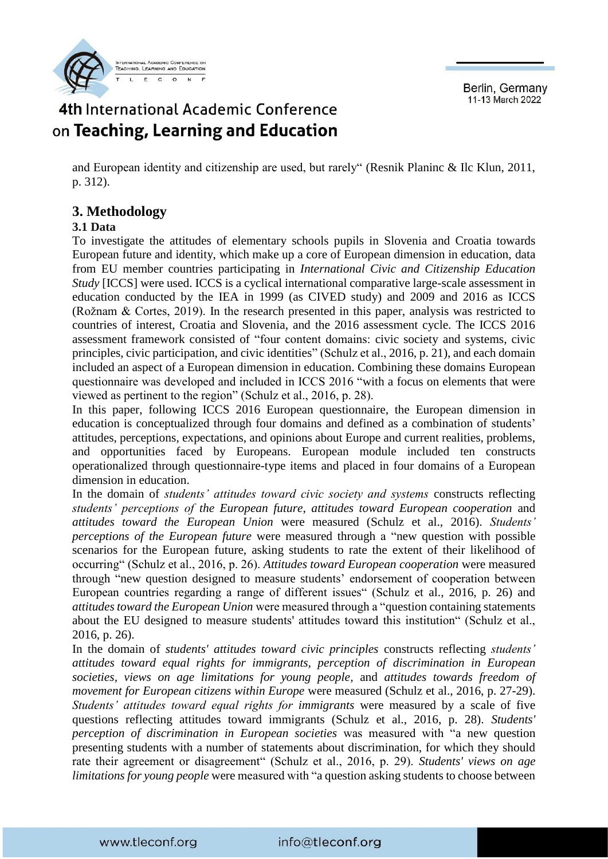

# 4th International Academic Conference on Teaching, Learning and Education

and European identity and citizenship are used, but rarely" (Resnik Planinc & Ilc Klun, 2011, p. 312).

#### **3. Methodology**

#### **3.1 Data**

To investigate the attitudes of elementary schools pupils in Slovenia and Croatia towards European future and identity, which make up a core of European dimension in education, data from EU member countries participating in *International Civic and Citizenship Education Study* [ICCS] were used. ICCS is a cyclical international comparative large-scale assessment in education conducted by the IEA in 1999 (as CIVED study) and 2009 and 2016 as ICCS (Rožnam & Cortes, 2019). In the research presented in this paper, analysis was restricted to countries of interest, Croatia and Slovenia, and the 2016 assessment cycle. The ICCS 2016 assessment framework consisted of "four content domains: civic society and systems, civic principles, civic participation, and civic identities" (Schulz et al., 2016, p. 21), and each domain included an aspect of a European dimension in education. Combining these domains European questionnaire was developed and included in ICCS 2016 "with a focus on elements that were viewed as pertinent to the region" (Schulz et al., 2016, p. 28).

In this paper, following ICCS 2016 European questionnaire, the European dimension in education is conceptualized through four domains and defined as a combination of students' attitudes, perceptions, expectations, and opinions about Europe and current realities, problems, and opportunities faced by Europeans. European module included ten constructs operationalized through questionnaire-type items and placed in four domains of a European dimension in education.

In the domain of *students' attitudes toward civic society and systems* constructs reflecting *students' perceptions of the European future*, *attitudes toward European cooperation* and *attitudes toward the European Union* were measured (Schulz et al., 2016). *Students' perceptions of the European future* were measured through a "new question with possible scenarios for the European future, asking students to rate the extent of their likelihood of occurring" (Schulz et al., 2016, p. 26). *Attitudes toward European cooperation* were measured through "new question designed to measure students' endorsement of cooperation between European countries regarding a range of different issues" (Schulz et al., 2016, p. 26) and *attitudes toward the European Union* were measured through a "question containing statements about the EU designed to measure students' attitudes toward this institution" (Schulz et al., 2016, p. 26).

In the domain of *students' attitudes toward civic principles* constructs reflecting *students' attitudes toward equal rights for immigrants, perception of discrimination in European societies, views on age limitations for young people,* and *attitudes towards freedom of movement for European citizens within Europe* were measured (Schulz et al., 2016, p. 27-29). *Students' attitudes toward equal rights for immigrants* were measured by a scale of five questions reflecting attitudes toward immigrants (Schulz et al., 2016, p. 28). *Students' perception of discrimination in European societies* was measured with "a new question presenting students with a number of statements about discrimination, for which they should rate their agreement or disagreement" (Schulz et al., 2016, p. 29). *Students' views on age limitations for young people* were measured with "a question asking students to choose between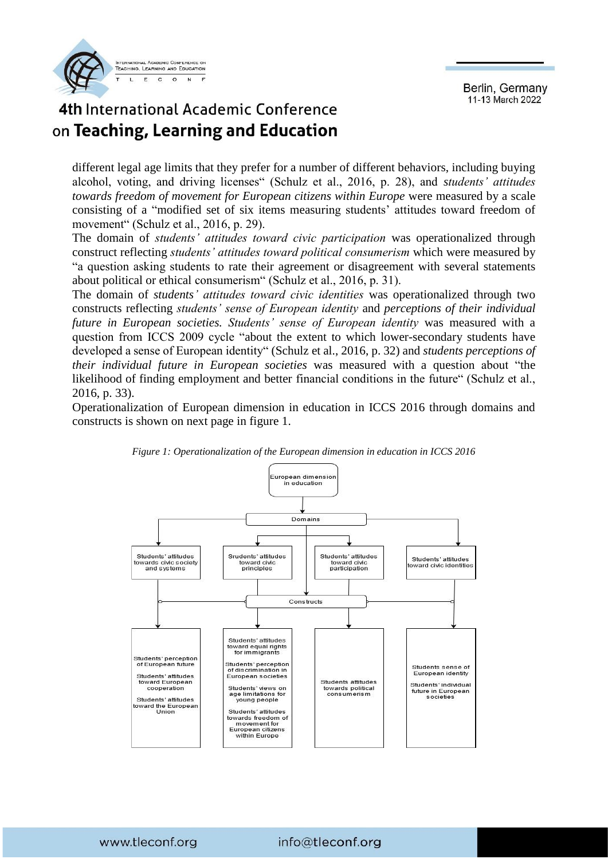

# 4th International Academic Conference on Teaching, Learning and Education

different legal age limits that they prefer for a number of different behaviors, including buying alcohol, voting, and driving licenses" (Schulz et al., 2016, p. 28), and *students' attitudes towards freedom of movement for European citizens within Europe were measured by a scale* consisting of a "modified set of six items measuring students' attitudes toward freedom of movement" (Schulz et al., 2016, p. 29).

The domain of *students' attitudes toward civic participation* was operationalized through construct reflecting *students' attitudes toward political consumerism* which were measured by "a question asking students to rate their agreement or disagreement with several statements about political or ethical consumerism" (Schulz et al., 2016, p. 31).

The domain of *students' attitudes toward civic identities* was operationalized through two constructs reflecting *students' sense of European identity* and *perceptions of their individual future in European societies. Students' sense of European identity* was measured with a question from ICCS 2009 cycle "about the extent to which lower-secondary students have developed a sense of European identity" (Schulz et al., 2016, p. 32) and *students perceptions of their individual future in European societies* was measured with a question about "the likelihood of finding employment and better financial conditions in the future" (Schulz et al., 2016, p. 33).

Operationalization of European dimension in education in ICCS 2016 through domains and constructs is shown on next page in figure 1.



*Figure 1: Operationalization of the European dimension in education in ICCS 2016*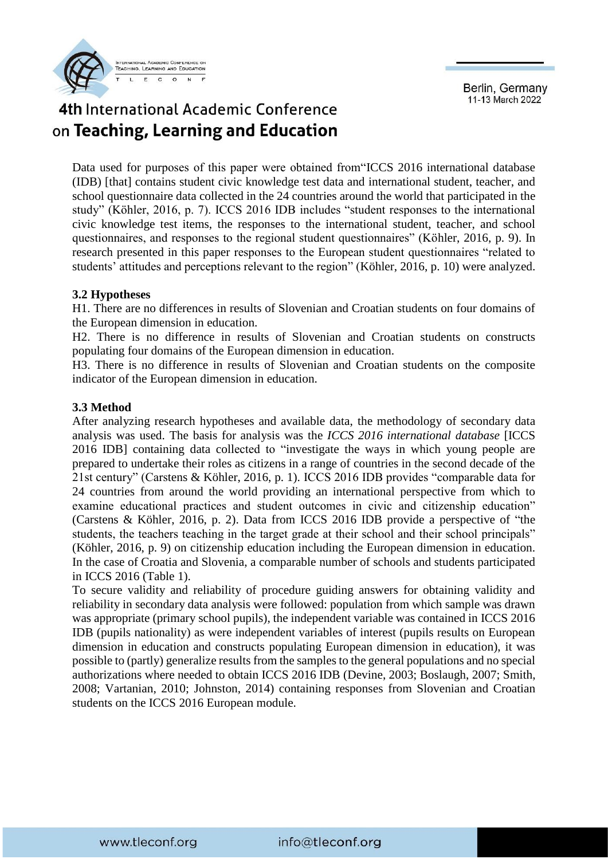

# 4th International Academic Conference on Teaching, Learning and Education

Data used for purposes of this paper were obtained from"ICCS 2016 international database (IDB) [that] contains student civic knowledge test data and international student, teacher, and school questionnaire data collected in the 24 countries around the world that participated in the study" (Köhler, 2016, p. 7). ICCS 2016 IDB includes "student responses to the international civic knowledge test items, the responses to the international student, teacher, and school questionnaires, and responses to the regional student questionnaires" (Köhler, 2016, p. 9). In research presented in this paper responses to the European student questionnaires "related to students' attitudes and perceptions relevant to the region" (Köhler, 2016, p. 10) were analyzed.

#### **3.2 Hypotheses**

H1. There are no differences in results of Slovenian and Croatian students on four domains of the European dimension in education.

H2. There is no difference in results of Slovenian and Croatian students on constructs populating four domains of the European dimension in education.

H3. There is no difference in results of Slovenian and Croatian students on the composite indicator of the European dimension in education.

#### **3.3 Method**

After analyzing research hypotheses and available data, the methodology of secondary data analysis was used. The basis for analysis was the *ICCS 2016 international database* [ICCS 2016 IDB] containing data collected to "investigate the ways in which young people are prepared to undertake their roles as citizens in a range of countries in the second decade of the 21st century" (Carstens & Köhler, 2016, p. 1). ICCS 2016 IDB provides "comparable data for 24 countries from around the world providing an international perspective from which to examine educational practices and student outcomes in civic and citizenship education" (Carstens & Köhler, 2016, p. 2). Data from ICCS 2016 IDB provide a perspective of "the students, the teachers teaching in the target grade at their school and their school principals" (Köhler, 2016, p. 9) on citizenship education including the European dimension in education. In the case of Croatia and Slovenia, a comparable number of schools and students participated in ICCS 2016 (Table 1).

To secure validity and reliability of procedure guiding answers for obtaining validity and reliability in secondary data analysis were followed: population from which sample was drawn was appropriate (primary school pupils), the independent variable was contained in ICCS 2016 IDB (pupils nationality) as were independent variables of interest (pupils results on European dimension in education and constructs populating European dimension in education), it was possible to (partly) generalize results from the samples to the general populations and no special authorizations where needed to obtain ICCS 2016 IDB (Devine, 2003; Boslaugh, 2007; Smith, 2008; Vartanian, 2010; Johnston, 2014) containing responses from Slovenian and Croatian students on the ICCS 2016 European module.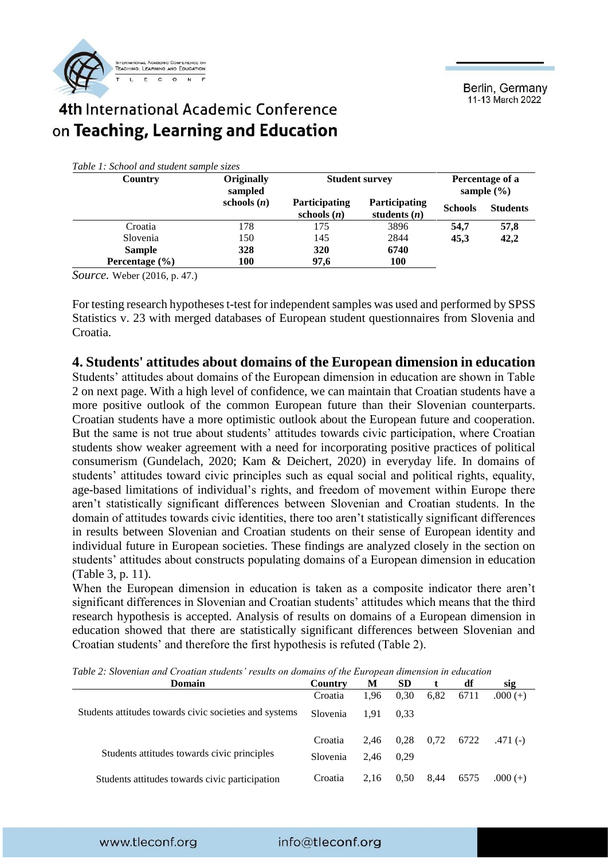

#### 4th International Academic Conference on Teaching, Learning and Education

| Table 1: School and student sample sizes |  |  |  |  |  |
|------------------------------------------|--|--|--|--|--|
|------------------------------------------|--|--|--|--|--|

| Country            | Originally<br>sampled | <b>Student survey</b>                 |                                        |                | Percentage of a<br>sample $(\% )$ |
|--------------------|-----------------------|---------------------------------------|----------------------------------------|----------------|-----------------------------------|
|                    | schools $(n)$         | <b>Participating</b><br>schools $(n)$ | <b>Participating</b><br>students $(n)$ | <b>Schools</b> | <b>Students</b>                   |
| Croatia            | 178                   | 175                                   | 3896                                   | 54.7           | 57,8                              |
| Slovenia           | 150                   | 145                                   | 2844                                   | 45.3           | 42,2                              |
| <b>Sample</b>      | 328                   | 320                                   | 6740                                   |                |                                   |
| Percentage $(\% )$ | <b>100</b>            | 97,6                                  | <b>100</b>                             |                |                                   |

*Source.* Weber (2016, p. 47.)

For testing research hypotheses t-test for independent samples was used and performed by SPSS Statistics v. 23 with merged databases of European student questionnaires from Slovenia and Croatia.

#### **4. Students' attitudes about domains of the European dimension in education**

Students' attitudes about domains of the European dimension in education are shown in Table 2 on next page. With a high level of confidence, we can maintain that Croatian students have a more positive outlook of the common European future than their Slovenian counterparts. Croatian students have a more optimistic outlook about the European future and cooperation. But the same is not true about students' attitudes towards civic participation, where Croatian students show weaker agreement with a need for incorporating positive practices of political consumerism (Gundelach, 2020; Kam & Deichert, 2020) in everyday life. In domains of students' attitudes toward civic principles such as equal social and political rights, equality, age-based limitations of individual's rights, and freedom of movement within Europe there aren't statistically significant differences between Slovenian and Croatian students. In the domain of attitudes towards civic identities, there too aren't statistically significant differences in results between Slovenian and Croatian students on their sense of European identity and individual future in European societies. These findings are analyzed closely in the section on students' attitudes about constructs populating domains of a European dimension in education (Table 3, p. 11).

When the European dimension in education is taken as a composite indicator there aren't significant differences in Slovenian and Croatian students' attitudes which means that the third research hypothesis is accepted. Analysis of results on domains of a European dimension in education showed that there are statistically significant differences between Slovenian and Croatian students' and therefore the first hypothesis is refuted (Table 2).

| Domain                                                 | Country  | М    | <b>SD</b> |      | df   | sig        |
|--------------------------------------------------------|----------|------|-----------|------|------|------------|
|                                                        | Croatia  | 1.96 | 0.30      | 6,82 | 6711 | $.000 (+)$ |
| Students attitudes towards civic societies and systems | Slovenia | 1.91 | 0.33      |      |      |            |
|                                                        | Croatia  | 2.46 | 0,28      | 0,72 | 6722 | $.471(-)$  |
| Students attitudes towards civic principles            | Slovenia | 2.46 | 0.29      |      |      |            |
| Students attitudes towards civic participation         | Croatia  | 2.16 | 0.50      | 8,44 | 6575 | $.000(+)$  |

*Table 2: Slovenian and Croatian students' results on domains of the European dimension in education*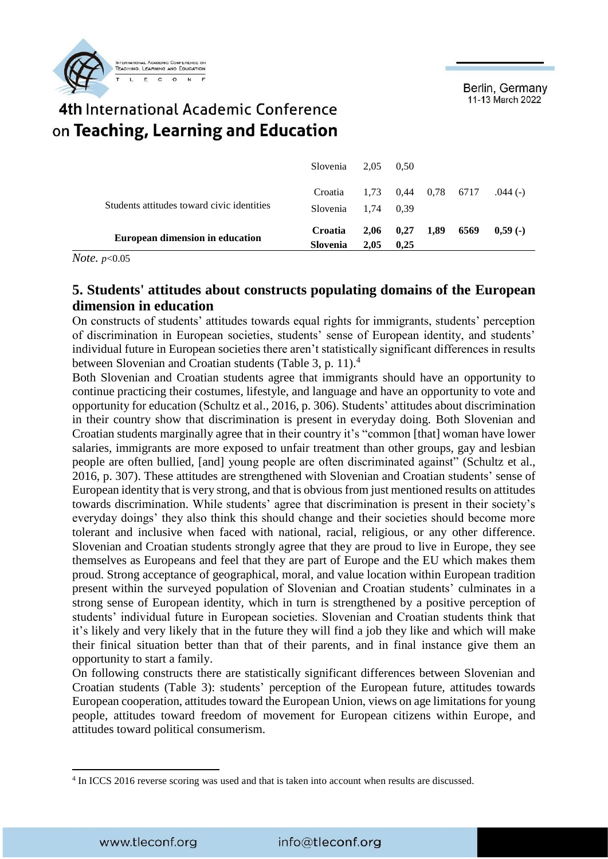

#### 4th International Academic Conference on Teaching, Learning and Education

|                                            | Slovenia $2,05$ 0.50        |      |                      |      |           |
|--------------------------------------------|-----------------------------|------|----------------------|------|-----------|
|                                            | Croatia 1,73 0,44 0,78 6717 |      |                      |      | $.044(-)$ |
| Students attitudes toward civic identities | Slovenia 1,74 0,39          |      |                      |      |           |
| <b>European dimension in education</b>     | Croatia                     |      | $2,06$ $0,27$ $1,89$ | 6569 | $0.59($ - |
|                                            | <b>Slovenia</b>             | 2.05 | 0.25                 |      |           |

*Note. p*<0.05

#### **5. Students' attitudes about constructs populating domains of the European dimension in education**

On constructs of students' attitudes towards equal rights for immigrants, students' perception of discrimination in European societies, students' sense of European identity, and students' individual future in European societies there aren't statistically significant differences in results between Slovenian and Croatian students (Table 3, p. 11).<sup>4</sup>

Both Slovenian and Croatian students agree that immigrants should have an opportunity to continue practicing their costumes, lifestyle, and language and have an opportunity to vote and opportunity for education (Schultz et al., 2016, p. 306). Students' attitudes about discrimination in their country show that discrimination is present in everyday doing. Both Slovenian and Croatian students marginally agree that in their country it's "common [that] woman have lower salaries, immigrants are more exposed to unfair treatment than other groups, gay and lesbian people are often bullied, [and] young people are often discriminated against" (Schultz et al., 2016, p. 307). These attitudes are strengthened with Slovenian and Croatian students' sense of European identity that is very strong, and that is obvious from just mentioned results on attitudes towards discrimination. While students' agree that discrimination is present in their society's everyday doings' they also think this should change and their societies should become more tolerant and inclusive when faced with national, racial, religious, or any other difference. Slovenian and Croatian students strongly agree that they are proud to live in Europe, they see themselves as Europeans and feel that they are part of Europe and the EU which makes them proud. Strong acceptance of geographical, moral, and value location within European tradition present within the surveyed population of Slovenian and Croatian students' culminates in a strong sense of European identity, which in turn is strengthened by a positive perception of students' individual future in European societies. Slovenian and Croatian students think that it's likely and very likely that in the future they will find a job they like and which will make their finical situation better than that of their parents, and in final instance give them an opportunity to start a family.

On following constructs there are statistically significant differences between Slovenian and Croatian students (Table 3): students' perception of the European future, attitudes towards European cooperation, attitudes toward the European Union, views on age limitations for young people, attitudes toward freedom of movement for European citizens within Europe, and attitudes toward political consumerism.

1

<sup>4</sup> In ICCS 2016 reverse scoring was used and that is taken into account when results are discussed.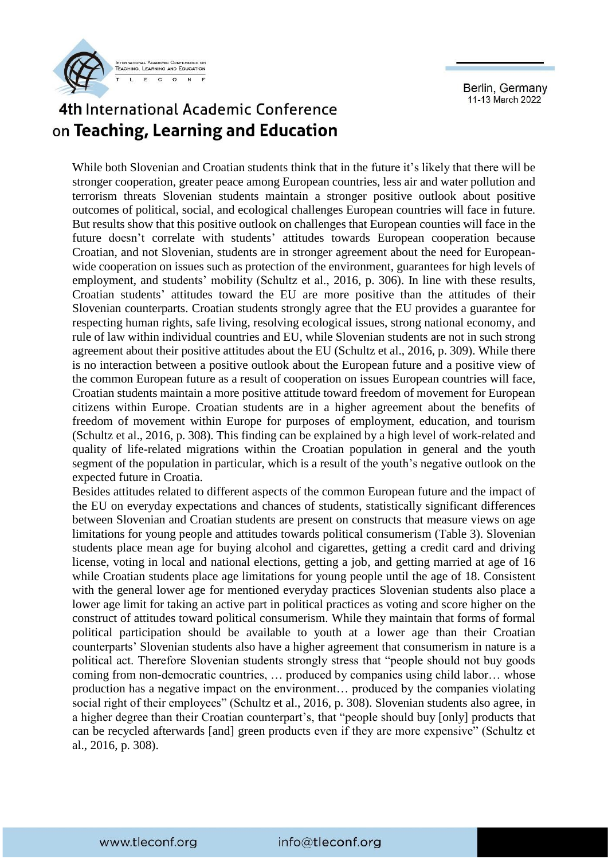

# 4th International Academic Conference on Teaching, Learning and Education

While both Slovenian and Croatian students think that in the future it's likely that there will be stronger cooperation, greater peace among European countries, less air and water pollution and terrorism threats Slovenian students maintain a stronger positive outlook about positive outcomes of political, social, and ecological challenges European countries will face in future. But results show that this positive outlook on challenges that European counties will face in the future doesn't correlate with students' attitudes towards European cooperation because Croatian, and not Slovenian, students are in stronger agreement about the need for Europeanwide cooperation on issues such as protection of the environment, guarantees for high levels of employment, and students' mobility (Schultz et al., 2016, p. 306). In line with these results, Croatian students' attitudes toward the EU are more positive than the attitudes of their Slovenian counterparts. Croatian students strongly agree that the EU provides a guarantee for respecting human rights, safe living, resolving ecological issues, strong national economy, and rule of law within individual countries and EU, while Slovenian students are not in such strong agreement about their positive attitudes about the EU (Schultz et al., 2016, p. 309). While there is no interaction between a positive outlook about the European future and a positive view of the common European future as a result of cooperation on issues European countries will face, Croatian students maintain a more positive attitude toward freedom of movement for European citizens within Europe. Croatian students are in a higher agreement about the benefits of freedom of movement within Europe for purposes of employment, education, and tourism (Schultz et al., 2016, p. 308). This finding can be explained by a high level of work-related and quality of life-related migrations within the Croatian population in general and the youth segment of the population in particular, which is a result of the youth's negative outlook on the expected future in Croatia.

Besides attitudes related to different aspects of the common European future and the impact of the EU on everyday expectations and chances of students, statistically significant differences between Slovenian and Croatian students are present on constructs that measure views on age limitations for young people and attitudes towards political consumerism (Table 3). Slovenian students place mean age for buying alcohol and cigarettes, getting a credit card and driving license, voting in local and national elections, getting a job, and getting married at age of 16 while Croatian students place age limitations for young people until the age of 18. Consistent with the general lower age for mentioned everyday practices Slovenian students also place a lower age limit for taking an active part in political practices as voting and score higher on the construct of attitudes toward political consumerism. While they maintain that forms of formal political participation should be available to youth at a lower age than their Croatian counterparts' Slovenian students also have a higher agreement that consumerism in nature is a political act. Therefore Slovenian students strongly stress that "people should not buy goods coming from non-democratic countries, … produced by companies using child labor… whose production has a negative impact on the environment… produced by the companies violating social right of their employees" (Schultz et al., 2016, p. 308). Slovenian students also agree, in a higher degree than their Croatian counterpart's, that "people should buy [only] products that can be recycled afterwards [and] green products even if they are more expensive" (Schultz et al., 2016, p. 308).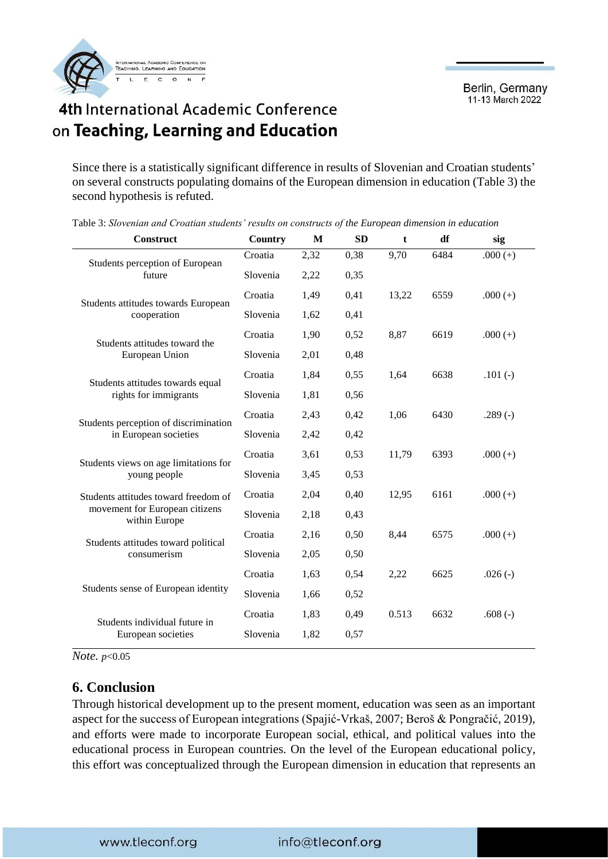



Since there is a statistically significant difference in results of Slovenian and Croatian students' on several constructs populating domains of the European dimension in education (Table 3) the second hypothesis is refuted.

| Construct                                       | Country  | M    | <b>SD</b> | t     | df   | sig        |
|-------------------------------------------------|----------|------|-----------|-------|------|------------|
| Students perception of European                 | Croatia  | 2,32 | 0,38      | 9,70  | 6484 | $.000 (+)$ |
| future                                          | Slovenia | 2,22 | 0,35      |       |      |            |
| Students attitudes towards European             | Croatia  | 1,49 | 0,41      | 13,22 | 6559 | $.000 (+)$ |
| cooperation                                     | Slovenia | 1,62 | 0,41      |       |      |            |
| Students attitudes toward the                   | Croatia  | 1,90 | 0,52      | 8,87  | 6619 | $.000 (+)$ |
| European Union                                  | Slovenia | 2,01 | 0,48      |       |      |            |
| Students attitudes towards equal                | Croatia  | 1,84 | 0,55      | 1,64  | 6638 | $.101(-)$  |
| rights for immigrants                           | Slovenia | 1,81 | 0,56      |       |      |            |
| Students perception of discrimination           | Croatia  | 2,43 | 0,42      | 1,06  | 6430 | $.289(-)$  |
| in European societies                           | Slovenia | 2,42 | 0,42      |       |      |            |
| Students views on age limitations for           | Croatia  | 3,61 | 0,53      | 11,79 | 6393 | $.000 (+)$ |
| young people                                    | Slovenia | 3,45 | 0,53      |       |      |            |
| Students attitudes toward freedom of            | Croatia  | 2,04 | 0,40      | 12,95 | 6161 | $.000 (+)$ |
| movement for European citizens<br>within Europe | Slovenia | 2,18 | 0,43      |       |      |            |
| Students attitudes toward political             | Croatia  | 2,16 | 0,50      | 8,44  | 6575 | $.000 (+)$ |
| consumerism                                     | Slovenia | 2,05 | 0,50      |       |      |            |
|                                                 | Croatia  | 1,63 | 0,54      | 2,22  | 6625 | $.026(-)$  |
| Students sense of European identity             | Slovenia | 1,66 | 0,52      |       |      |            |
| Students individual future in                   | Croatia  | 1,83 | 0,49      | 0.513 | 6632 | .608 $(-)$ |
| European societies                              | Slovenia | 1,82 | 0,57      |       |      |            |
|                                                 |          |      |           |       |      |            |

Table 3: *Slovenian and Croatian students' results on constructs of the European dimension in education*

*Note. p*<0.05

#### **6. Conclusion**

Through historical development up to the present moment, education was seen as an important aspect for the success of European integrations (Spajić-Vrkaš, 2007; Beroš & Pongračić, 2019), and efforts were made to incorporate European social, ethical, and political values into the educational process in European countries. On the level of the European educational policy, this effort was conceptualized through the European dimension in education that represents an

#### info@tleconf.org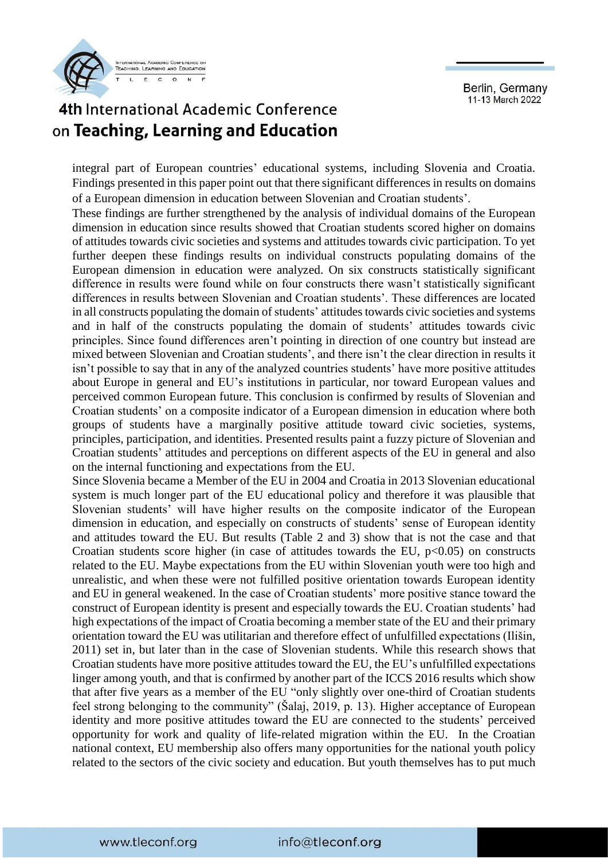



integral part of European countries' educational systems, including Slovenia and Croatia. Findings presented in this paper point out that there significant differences in results on domains of a European dimension in education between Slovenian and Croatian students'.

These findings are further strengthened by the analysis of individual domains of the European dimension in education since results showed that Croatian students scored higher on domains of attitudes towards civic societies and systems and attitudes towards civic participation. To yet further deepen these findings results on individual constructs populating domains of the European dimension in education were analyzed. On six constructs statistically significant difference in results were found while on four constructs there wasn't statistically significant differences in results between Slovenian and Croatian students'. These differences are located in all constructs populating the domain of students' attitudes towards civic societies and systems and in half of the constructs populating the domain of students' attitudes towards civic principles. Since found differences aren't pointing in direction of one country but instead are mixed between Slovenian and Croatian students', and there isn't the clear direction in results it isn't possible to say that in any of the analyzed countries students' have more positive attitudes about Europe in general and EU's institutions in particular, nor toward European values and perceived common European future. This conclusion is confirmed by results of Slovenian and Croatian students' on a composite indicator of a European dimension in education where both groups of students have a marginally positive attitude toward civic societies, systems, principles, participation, and identities. Presented results paint a fuzzy picture of Slovenian and Croatian students' attitudes and perceptions on different aspects of the EU in general and also on the internal functioning and expectations from the EU.

Since Slovenia became a Member of the EU in 2004 and Croatia in 2013 Slovenian educational system is much longer part of the EU educational policy and therefore it was plausible that Slovenian students' will have higher results on the composite indicator of the European dimension in education, and especially on constructs of students' sense of European identity and attitudes toward the EU. But results (Table 2 and 3) show that is not the case and that Croatian students score higher (in case of attitudes towards the EU,  $p<0.05$ ) on constructs related to the EU. Maybe expectations from the EU within Slovenian youth were too high and unrealistic, and when these were not fulfilled positive orientation towards European identity and EU in general weakened. In the case of Croatian students' more positive stance toward the construct of European identity is present and especially towards the EU. Croatian students' had high expectations of the impact of Croatia becoming a member state of the EU and their primary orientation toward the EU was utilitarian and therefore effect of unfulfilled expectations (Ilišin, 2011) set in, but later than in the case of Slovenian students. While this research shows that Croatian students have more positive attitudes toward the EU, the EU's unfulfilled expectations linger among youth, and that is confirmed by another part of the ICCS 2016 results which show that after five years as a member of the EU "only slightly over one-third of Croatian students feel strong belonging to the community" (Šalaj, 2019, p. 13). Higher acceptance of European identity and more positive attitudes toward the EU are connected to the students' perceived opportunity for work and quality of life-related migration within the EU. In the Croatian national context, EU membership also offers many opportunities for the national youth policy related to the sectors of the civic society and education. But youth themselves has to put much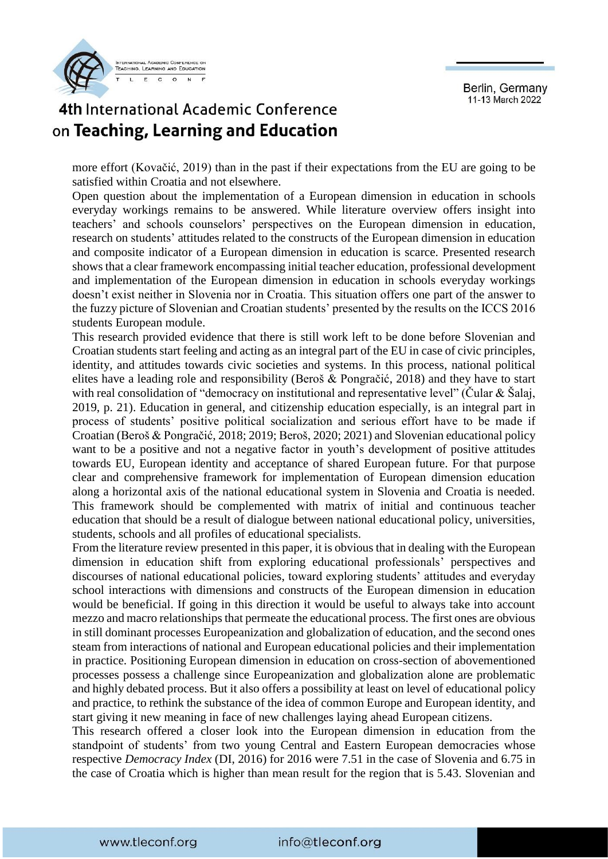



more effort (Kovačić, 2019) than in the past if their expectations from the EU are going to be satisfied within Croatia and not elsewhere.

Open question about the implementation of a European dimension in education in schools everyday workings remains to be answered. While literature overview offers insight into teachers' and schools counselors' perspectives on the European dimension in education, research on students' attitudes related to the constructs of the European dimension in education and composite indicator of a European dimension in education is scarce. Presented research shows that a clear framework encompassing initial teacher education, professional development and implementation of the European dimension in education in schools everyday workings doesn't exist neither in Slovenia nor in Croatia. This situation offers one part of the answer to the fuzzy picture of Slovenian and Croatian students' presented by the results on the ICCS 2016 students European module.

This research provided evidence that there is still work left to be done before Slovenian and Croatian students start feeling and acting as an integral part of the EU in case of civic principles, identity, and attitudes towards civic societies and systems. In this process, national political elites have a leading role and responsibility (Beroš & Pongračić, 2018) and they have to start with real consolidation of "democracy on institutional and representative level" (Cular & Šalaj, 2019, p. 21). Education in general, and citizenship education especially, is an integral part in process of students' positive political socialization and serious effort have to be made if Croatian (Beroš & Pongračić, 2018; 2019; Beroš, 2020; 2021) and Slovenian educational policy want to be a positive and not a negative factor in youth's development of positive attitudes towards EU, European identity and acceptance of shared European future. For that purpose clear and comprehensive framework for implementation of European dimension education along a horizontal axis of the national educational system in Slovenia and Croatia is needed. This framework should be complemented with matrix of initial and continuous teacher education that should be a result of dialogue between national educational policy, universities, students, schools and all profiles of educational specialists.

From the literature review presented in this paper, it is obvious that in dealing with the European dimension in education shift from exploring educational professionals' perspectives and discourses of national educational policies, toward exploring students' attitudes and everyday school interactions with dimensions and constructs of the European dimension in education would be beneficial. If going in this direction it would be useful to always take into account mezzo and macro relationships that permeate the educational process. The first ones are obvious in still dominant processes Europeanization and globalization of education, and the second ones steam from interactions of national and European educational policies and their implementation in practice. Positioning European dimension in education on cross-section of abovementioned processes possess a challenge since Europeanization and globalization alone are problematic and highly debated process. But it also offers a possibility at least on level of educational policy and practice, to rethink the substance of the idea of common Europe and European identity, and start giving it new meaning in face of new challenges laying ahead European citizens.

This research offered a closer look into the European dimension in education from the standpoint of students' from two young Central and Eastern European democracies whose respective *Democracy Index* (DI, 2016) for 2016 were 7.51 in the case of Slovenia and 6.75 in the case of Croatia which is higher than mean result for the region that is 5.43. Slovenian and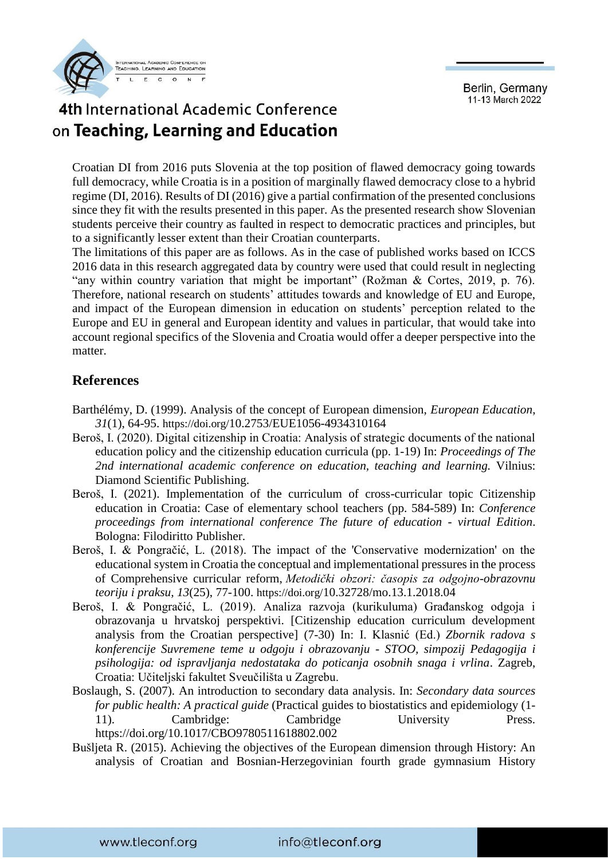

# 4th International Academic Conference on Teaching, Learning and Education

Croatian DI from 2016 puts Slovenia at the top position of flawed democracy going towards full democracy, while Croatia is in a position of marginally flawed democracy close to a hybrid regime (DI, 2016). Results of DI (2016) give a partial confirmation of the presented conclusions since they fit with the results presented in this paper. As the presented research show Slovenian students perceive their country as faulted in respect to democratic practices and principles, but to a significantly lesser extent than their Croatian counterparts.

The limitations of this paper are as follows. As in the case of published works based on ICCS 2016 data in this research aggregated data by country were used that could result in neglecting "any within country variation that might be important" (Rožman & Cortes, 2019, p. 76). Therefore, national research on students' attitudes towards and knowledge of EU and Europe, and impact of the European dimension in education on students' perception related to the Europe and EU in general and European identity and values in particular, that would take into account regional specifics of the Slovenia and Croatia would offer a deeper perspective into the matter.

#### **References**

- Barthélémy, D. (1999). Analysis of the concept of European dimension, *European Education*, *31*(1), 64-95. https://doi.org/[10.2753/EUE1056-4934310164](https://doi.org/10.2753/EUE1056-4934310164)
- Beroš, I. (2020). Digital citizenship in Croatia: Analysis of strategic documents of the national education policy and the citizenship education curricula (pp. 1-19) In: *Proceedings of The 2nd international academic conference on education, teaching and learning.* Vilnius: Diamond Scientific Publishing.
- Beroš, I. (2021). Implementation of the curriculum of cross-curricular topic Citizenship education in Croatia: Case of elementary school teachers (pp. 584-589) In: *Conference proceedings from international conference The future of education - virtual Edition*. Bologna: Filodiritto Publisher.
- Beroš, I. & Pongračić, L. (2018). The impact of the 'Conservative modernization' on the educational system in Croatia the conceptual and implementational pressures in the process of Comprehensive curricular reform, *Metodički obzori: časopis za odgojno-obrazovnu teoriju i praksu, 13*(25), 77-100. https://doi.org/[10.32728/mo.13.1.2018.04](https://doi.org/10.32728/mo.13.1.2018.04)
- Beroš, I. & Pongračić, L. (2019). Analiza razvoja (kurikuluma) Građanskog odgoja i obrazovanja u hrvatskoj perspektivi. [Citizenship education curriculum development analysis from the Croatian perspective] (7-30) In: I. Klasnić (Ed.) *Zbornik radova s konferencije Suvremene teme u odgoju i obrazovanju - STOO, simpozij Pedagogija i psihologija: od ispravljanja nedostataka do poticanja osobnih snaga i vrlina*. Zagreb, Croatia: Učiteljski fakultet Sveučilišta u Zagrebu.
- Boslaugh, S. (2007). An introduction to secondary data analysis. In: *Secondary data sources for public health: A practical guide* (Practical guides to biostatistics and epidemiology (1- 11). Cambridge: Cambridge University Press. <https://doi.org/10.1017/CBO9780511618802.002>
- Bušljeta R. (2015). Achieving the objectives of the European dimension through History: An analysis of Croatian and Bosnian-Herzegovinian fourth grade gymnasium History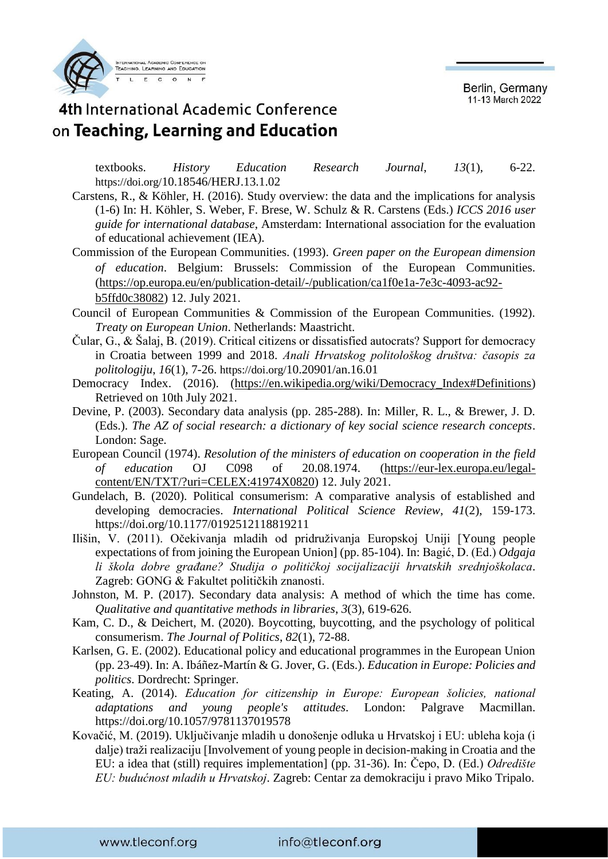

### 4th International Academic Conference on Teaching, Learning and Education

textbooks. *History Education Research Journal*, *13*(1), 6-22. https://doi.org/[10.18546/HERJ.13.1.02](http://dx.doi.org/10.18546/HERJ.13.1.02)

- Carstens, R., & Köhler, H. (2016). Study overview: the data and the implications for analysis (1-6) In: H. Köhler, S. Weber, F. Brese, W. Schulz & R. Carstens (Eds.) *ICCS 2016 user guide for international database*, Amsterdam: International association for the evaluation of educational achievement (IEA).
- Commission of the European Communities. (1993). *Green paper on the European dimension of education*. Belgium: Brussels: Commission of the European Communities. [\(https://op.europa.eu/en/publication-detail/-/publication/ca1f0e1a-7e3c-4093-ac92](https://op.europa.eu/en/publication-detail/-/publication/ca1f0e1a-7e3c-4093-ac92-b5ffd0c38082) [b5ffd0c38082\)](https://op.europa.eu/en/publication-detail/-/publication/ca1f0e1a-7e3c-4093-ac92-b5ffd0c38082) 12. July 2021.
- Council of European Communities & Commission of the European Communities. (1992). *Treaty on European Union*. Netherlands: Maastricht.
- Čular, G., & Šalaj, B. (2019). Critical citizens or dissatisfied autocrats? Support for democracy in Croatia between 1999 and 2018. *Anali Hrvatskog politološkog društva: časopis za politologiju*, *16*(1), 7-26. https://doi.org/[10.20901/an.16.01](https://doi.org/10.20901/an.16.01)
- Democracy Index. (2016). [\(https://en.wikipedia.org/wiki/Democracy\\_Index#Definitions\)](https://en.wikipedia.org/wiki/Democracy_Index#Definitions) Retrieved on 10th July 2021.
- Devine, P. (2003). Secondary data analysis (pp. 285-288). In: Miller, R. L., & Brewer, J. D. (Eds.). *The AZ of social research: a dictionary of key social science research concepts*. London: Sage.
- European Council (1974). *Resolution of the ministers of education on cooperation in the field of education* OJ C098 of 20.08.1974. [\(https://eur-lex.europa.eu/legal](https://eur-lex.europa.eu/legal-content/EN/TXT/?uri=CELEX:41974X0820)[content/EN/TXT/?uri=CELEX:41974X0820\)](https://eur-lex.europa.eu/legal-content/EN/TXT/?uri=CELEX:41974X0820) 12. July 2021.
- Gundelach, B. (2020). Political consumerism: A comparative analysis of established and developing democracies. *International Political Science Review*, *41*(2), 159-173. <https://doi.org/10.1177/0192512118819211>
- Ilišin, V. (2011). Očekivanja mladih od pridruživanja Europskoj Uniji [Young people expectations of from joining the European Union] (pp. 85-104). In: Bagić, D. (Ed.) *Odgaja li škola dobre građane? Studija o političkoj socijalizaciji hrvatskih srednjoškolaca*. Zagreb: GONG & Fakultet političkih znanosti.
- Johnston, M. P. (2017). Secondary data analysis: A method of which the time has come. *Qualitative and quantitative methods in libraries*, *3*(3), 619-626.
- Kam, C. D., & Deichert, M. (2020). Boycotting, buycotting, and the psychology of political consumerism. *The Journal of Politics*, *82*(1), 72-88.
- Karlsen, G. E. (2002). Educational policy and educational programmes in the European Union (pp. 23-49). In: A. Ibáñez-Martín & G. Jover, G. (Eds.). *Education in Europe: Policies and politics*. Dordrecht: Springer.
- Keating, A. (2014). *Education for citizenship in Europe: European šolicies, national adaptations and young people's attitudes*. London: Palgrave Macmillan. <https://doi.org/10.1057/9781137019578>
- Kovačić, M. (2019). Uključivanje mladih u donošenje odluka u Hrvatskoj i EU: ubleha koja (i dalje) traži realizaciju [Involvement of young people in decision-making in Croatia and the EU: a idea that (still) requires implementation] (pp. 31-36). In: Čepo, D. (Ed.) *Odredište EU: budućnost mladih u Hrvatskoj*. Zagreb: Centar za demokraciju i pravo Miko Tripalo.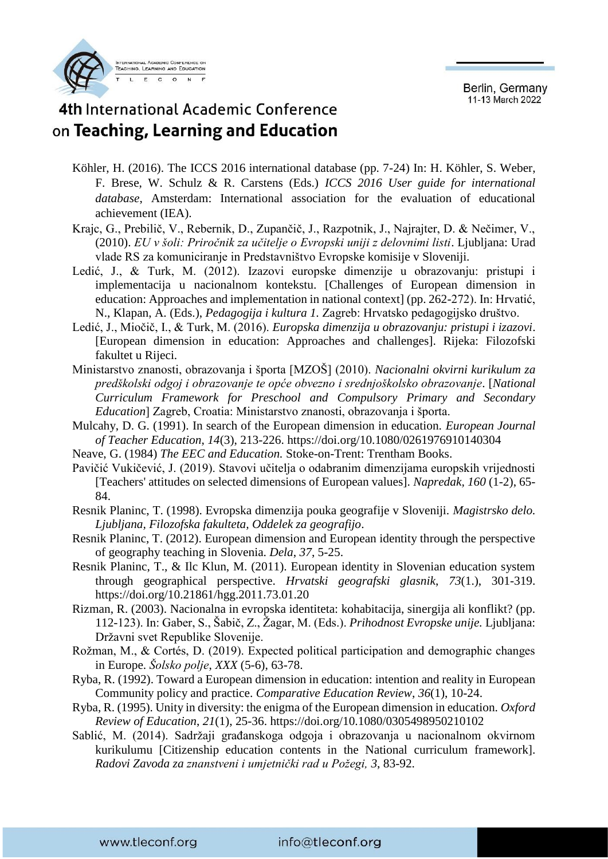

#### 4th International Academic Conference on Teaching, Learning and Education

- Köhler, H. (2016). The ICCS 2016 international database (pp. 7-24) In: H. Köhler, S. Weber, F. Brese, W. Schulz & R. Carstens (Eds.) *ICCS 2016 User guide for international database*, Amsterdam: International association for the evaluation of educational achievement (IEA).
- Krajc, G., Prebilič, V., Rebernik, D., Zupančič, J., Razpotnik, J., Najrajter, D. & Nečimer, V., (2010). *EU v šoli: Priročnik za učitelje o Evropski uniji z delovnimi listi*. Ljubljana: Urad vlade RS za komuniciranje in Predstavništvo Evropske komisije v Sloveniji.
- Ledić, J., & Turk, M. (2012). Izazovi europske dimenzije u obrazovanju: pristupi i implementacija u nacionalnom kontekstu. [Challenges of European dimension in education: Approaches and implementation in national context] (pp. 262-272). In: Hrvatić, N., Klapan, A. (Eds.), *Pedagogija i kultura 1.* Zagreb: Hrvatsko pedagogijsko društvo.
- Ledić, J., Miočič, I., & Turk, M. (2016). *Europska dimenzija u obrazovanju: pristupi i izazovi*. [European dimension in education: Approaches and challenges]. Rijeka: Filozofski fakultet u Rijeci.
- Ministarstvo znanosti, obrazovanja i športa [MZOŠ] (2010). *Nacionalni okvirni kurikulum za predškolski odgoj i obrazovanje te opće obvezno i srednjoškolsko obrazovanje*. [*National Curriculum Framework for Preschool and Compulsory Primary and Secondary Education*] Zagreb, Croatia: Ministarstvo znanosti, obrazovanja i športa.
- Mulcahy, D. G. (1991). In search of the European dimension in education. *European Journal of Teacher Education*, *14*(3), 213-226.<https://doi.org/10.1080/0261976910140304>
- Neave, G. (1984) *The EEC and Education.* Stoke-on-Trent: Trentham Books.
- Pavičić Vukičević, J. (2019). Stavovi učitelja o odabranim dimenzijama europskih vrijednosti [Teachers' attitudes on selected dimensions of European values]. *Napredak, 160* (1-2), 65- 84.
- Resnik Planinc, T. (1998). Evropska dimenzija pouka geografije v Sloveniji. *Magistrsko delo. Ljubljana, Filozofska fakulteta, Oddelek za geografijo*.
- Resnik Planinc, T. (2012). European dimension and European identity through the perspective of geography teaching in Slovenia. *Dela*, *37*, 5-25.
- Resnik Planinc, T., & Ilc Klun, M. (2011). European identity in Slovenian education system through geographical perspective. *Hrvatski geografski glasnik*, *73*(1.), 301-319. https://doi.org[/10.21861/hgg.2011.73.01.20](https://doi.org/10.21861/hgg.2011.73.01.20)
- Rizman, R. (2003). Nacionalna in evropska identiteta: kohabitacija, sinergija ali konflikt? (pp. 112-123). In: Gaber, S., Šabič, Z., Žagar, M. (Eds.). *Prihodnost Evropske unije.* Ljubljana: Državni svet Republike Slovenije.
- Rožman, M., & Cortés, D. (2019). Expected political participation and demographic changes in Europe. *Šolsko polje*, *XXX* (5-6), 63-78.
- Ryba, R. (1992). Toward a European dimension in education: intention and reality in European Community policy and practice. *Comparative Education Review*, *36*(1), 10-24.
- Ryba, R. (1995). Unity in diversity: the enigma of the European dimension in education. *Oxford Review of Education*, *21*(1), 25-36.<https://doi.org/10.1080/0305498950210102>
- Sablić, M. (2014). Sadržaji građanskoga odgoja i obrazovanja u nacionalnom okvirnom kurikulumu [Citizenship education contents in the National curriculum framework]. *Radovi Zavoda za znanstveni i umjetnički rad u Požegi, 3*, 83-92.